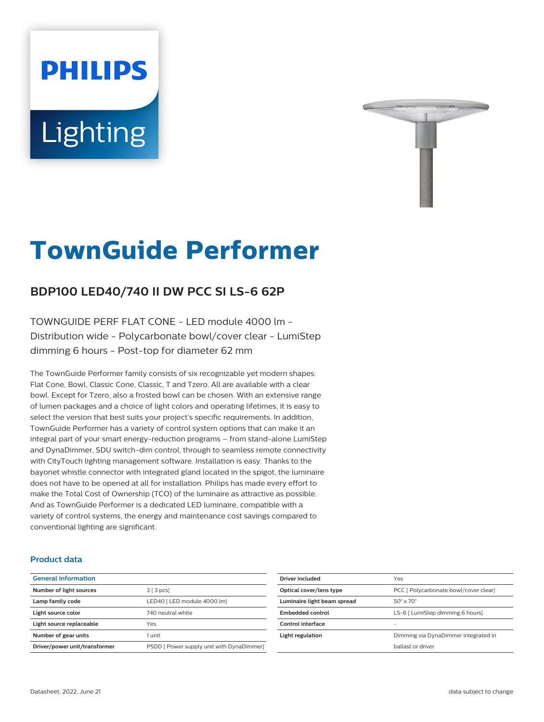# **Lighting**

**PHILIPS** 



# **TownGuide Performer**

# **BDP100 LED40/740 II DW PCC SI LS-6 62P**

TOWNGUIDE PERF FLAT CONE - LED module 4000 lm - Distribution wide - Polycarbonate bowl/cover clear - LumiStep dimming 6 hours - Post-top for diameter 62 mm

The TownGuide Performer family consists of six recognizable yet modern shapes: Flat Cone, Bowl, Classic Cone, Classic, T and Tzero. All are available with a clear bowl. Except for Tzero, also a frosted bowl can be chosen. With an extensive range of lumen packages and a choice of light colors and operating lifetimes, it is easy to select the version that best suits your project's specific requirements. In addition, TownGuide Performer has a variety of control system options that can make it an integral part of your smart energy-reduction programs – from stand-alone LumiStep and DynaDimmer, SDU switch-dim control, through to seamless remote connectivity with CityTouch lighting management software. Installation is easy. Thanks to the bayonet whistle connector with integrated gland located in the spigot, the luminaire does not have to be opened at all for installation. Philips has made every effort to make the Total Cost of Ownership (TCO) of the luminaire as attractive as possible. And as TownGuide Performer is a dedicated LED luminaire, compatible with a variety of control systems, the energy and maintenance cost savings compared to conventional lighting are significant.

#### **Product data**

| <b>General information</b>    |                                           |
|-------------------------------|-------------------------------------------|
| Number of light sources       | 3 [3 pcs]                                 |
| Lamp family code              | LED40   LED module 4000 lm]               |
| Light source color            | 740 neutral white                         |
| Light source replaceable      | Yes                                       |
| Number of gear units          | 1 unit                                    |
| Driver/power unit/transformer | PSDD [ Power supply unit with DynaDimmer] |

| Driver included             | Yes                                   |
|-----------------------------|---------------------------------------|
| Optical cover/lens type     | PCC [ Polycarbonate bowl/cover clear] |
| Luminaire light beam spread | $50^\circ \times 70^\circ$            |
| Embedded control            | LS-6   LumiStep dimming 6 hours]      |
| Control interface           |                                       |
| Light regulation            | Dimming via DynaDimmer integrated in  |
|                             | hallast or driver                     |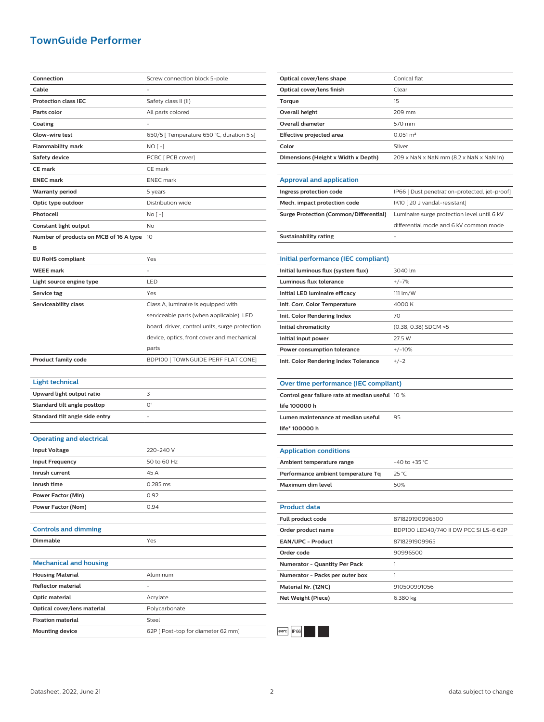## **TownGuide Performer**

| Connection                             | Screw connection block 5-pole                  |
|----------------------------------------|------------------------------------------------|
| Cable                                  |                                                |
| <b>Protection class IEC</b>            | Safety class II (II)                           |
| Parts color                            | All parts colored                              |
| Coating                                |                                                |
| Glow-wire test                         | 650/5 [ Temperature 650 °C, duration 5 s]      |
| Flammability mark                      | NO [ -]                                        |
| Safety device                          | PCBC [ PCB cover]                              |
| <b>CE mark</b>                         | CE mark                                        |
| <b>ENEC mark</b>                       | <b>ENEC</b> mark                               |
| Warranty period                        | 5 years                                        |
| Optic type outdoor                     | Distribution wide                              |
| Photocell                              | No [ -]                                        |
| Constant light output                  | No                                             |
| Number of products on MCB of 16 A type | 10                                             |
| в                                      |                                                |
| <b>EU RoHS compliant</b>               | Yes                                            |
| <b>WEEE mark</b>                       |                                                |
| Light source engine type               | LED                                            |
| Service tag                            | Yes                                            |
| Serviceability class                   | Class A, luminaire is equipped with            |
|                                        | serviceable parts (when applicable): LED       |
|                                        | board, driver, control units, surge protection |
|                                        | device, optics, front cover and mechanical     |
|                                        | parts                                          |
| <b>Product family code</b>             | BDP100 [TOWNGUIDE PERF FLAT CONE]              |
|                                        |                                                |
| <b>Light technical</b>                 |                                                |
| Upward light output ratio              | 3                                              |
| Standard tilt angle posttop            | O°                                             |
| Standard tilt angle side entry         |                                                |
|                                        |                                                |
| <b>Operating and electrical</b>        |                                                |
| <b>Input Voltage</b>                   | 220-240 V                                      |
| <b>Input Frequency</b>                 | 50 to 60 Hz                                    |
| Inrush current                         | 45 A                                           |
| Inrush time                            | 0.285 ms                                       |
| Power Factor (Min)                     | 0.92                                           |
| Power Factor (Nom)                     | 0.94                                           |
|                                        |                                                |
| <b>Controls and dimming</b>            |                                                |
| Dimmable                               | Yes                                            |
|                                        |                                                |
| <b>Mechanical and housing</b>          |                                                |
| <b>Housing Material</b>                | Aluminum                                       |
| <b>Reflector material</b>              |                                                |
| Optic material                         | Acrylate                                       |
| Optical cover/lens material            | Polycarbonate                                  |
| <b>Fixation material</b>               | Steel                                          |
| <b>Mounting device</b>                 | 62P [ Post-top for diameter 62 mm]             |
|                                        |                                                |

| Optical cover/lens shape            | Conical flat                                  |
|-------------------------------------|-----------------------------------------------|
| Optical cover/lens finish           | Clear                                         |
| Torque                              | 15                                            |
| Overall height                      | 209 mm                                        |
| Overall diameter                    | 570 mm                                        |
| Effective projected area            | $0.051 \text{ m}^2$                           |
| Color                               | Silver                                        |
| Dimensions (Height x Width x Depth) | 209 x NaN x NaN mm (8.2 x NaN x NaN in)       |
|                                     |                                               |
| <b>Approval and application</b>     |                                               |
| Ingress protection code             | IP66 [ Dust penetration-protected, jet-proof] |
| Mech. impact protection code        | IK10 [20 J vandal-resistant]                  |

| Mech, impact protection code           | IK10   20 J vandal-resistanti               |
|----------------------------------------|---------------------------------------------|
| Surge Protection (Common/Differential) | Luminaire surge protection level until 6 kV |
|                                        | differential mode and 6 kV common mode      |
| Sustainability rating                  |                                             |
|                                        |                                             |

| Initial performance (IEC compliant)   |                        |
|---------------------------------------|------------------------|
| Initial luminous flux (system flux)   | 3040 lm                |
| Luminous flux tolerance               | $+/-7%$                |
| Initial LED luminaire efficacy        | $111 \text{ lm/W}$     |
| Init. Corr. Color Temperature         | 4000 K                 |
| Init. Color Rendering Index           | 70                     |
| Initial chromaticity                  | $(0.38, 0.38)$ SDCM <5 |
| Initial input power                   | 27.5 W                 |
| Power consumption tolerance           | $+/-10%$               |
| Init. Color Rendering Index Tolerance | $+/-2$                 |

| Over time performance (IEC compliant) |  |
|---------------------------------------|--|

| Control gear failure rate at median useful 10 % |    |
|-------------------------------------------------|----|
| life 100000 h                                   |    |
| Lumen maintenance at median useful              | 95 |
| life* 100000 h                                  |    |

| <b>Application conditions</b>        |                                        |
|--------------------------------------|----------------------------------------|
| Ambient temperature range            | $-40$ to $+35$ °C.                     |
| Performance ambient temperature Tq   | $25^{\circ}$ C                         |
| Maximum dim level                    | 50%                                    |
|                                      |                                        |
| <b>Product data</b>                  |                                        |
| Full product code                    | 871829190996500                        |
| Order product name                   | BDP100 LED40/740 II DW PCC SI LS-6 62P |
| <b>EAN/UPC - Product</b>             | 8718291909965                          |
| Order code                           | 90996500                               |
| <b>Numerator - Quantity Per Pack</b> | 1                                      |
| Numerator - Packs per outer box      | 1                                      |
| Material Nr. (12NC)                  | 910500991056                           |
| Net Weight (Piece)                   | 6.380 kg                               |